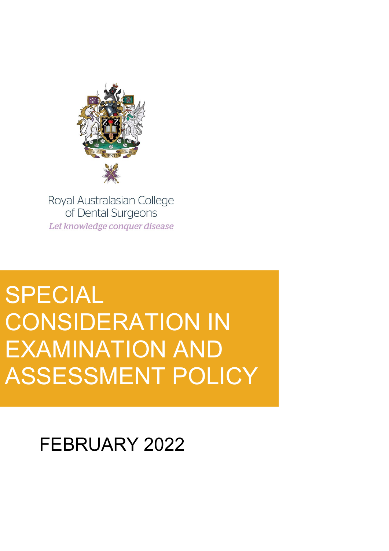

Royal Australasian College of Dental Surgeons Let knowledge conquer disease

# SPECIAL CONSIDERATION IN EXAMINATION AND ASSESSMENT POLICY

# FEBRUARY 2022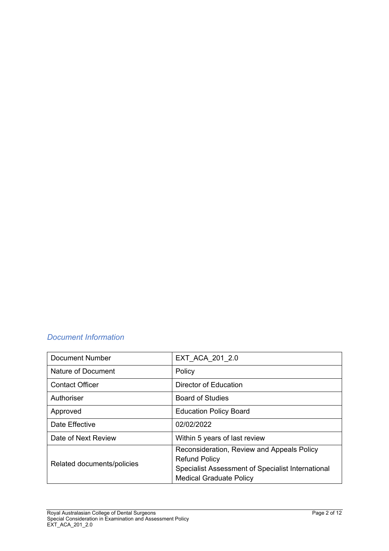# *Document Information*

| Document Number            | EXT ACA 201 2.0                                                                                                                                           |
|----------------------------|-----------------------------------------------------------------------------------------------------------------------------------------------------------|
| <b>Nature of Document</b>  | Policy                                                                                                                                                    |
| <b>Contact Officer</b>     | Director of Education                                                                                                                                     |
| Authoriser                 | <b>Board of Studies</b>                                                                                                                                   |
| Approved                   | <b>Education Policy Board</b>                                                                                                                             |
| Date Effective             | 02/02/2022                                                                                                                                                |
| Date of Next Review        | Within 5 years of last review                                                                                                                             |
| Related documents/policies | Reconsideration, Review and Appeals Policy<br><b>Refund Policy</b><br>Specialist Assessment of Specialist International<br><b>Medical Graduate Policy</b> |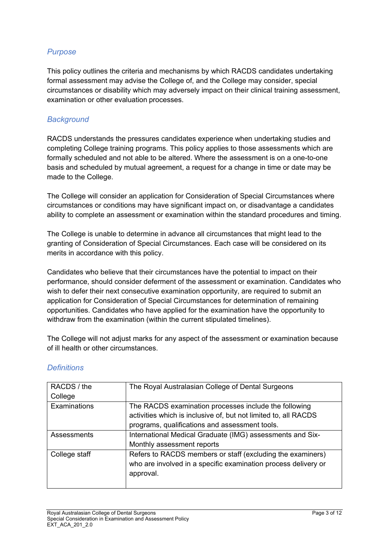# *Purpose*

This policy outlines the criteria and mechanisms by which RACDS candidates undertaking formal assessment may advise the College of, and the College may consider, special circumstances or disability which may adversely impact on their clinical training assessment, examination or other evaluation processes.

#### *Background*

RACDS understands the pressures candidates experience when undertaking studies and completing College training programs. This policy applies to those assessments which are formally scheduled and not able to be altered. Where the assessment is on a one-to-one basis and scheduled by mutual agreement, a request for a change in time or date may be made to the College.

The College will consider an application for Consideration of Special Circumstances where circumstances or conditions may have significant impact on, or disadvantage a candidates ability to complete an assessment or examination within the standard procedures and timing.

The College is unable to determine in advance all circumstances that might lead to the granting of Consideration of Special Circumstances. Each case will be considered on its merits in accordance with this policy.

Candidates who believe that their circumstances have the potential to impact on their performance, should consider deferment of the assessment or examination. Candidates who wish to defer their next consecutive examination opportunity, are required to submit an application for Consideration of Special Circumstances for determination of remaining opportunities. Candidates who have applied for the examination have the opportunity to withdraw from the examination (within the current stipulated timelines).

The College will not adjust marks for any aspect of the assessment or examination because of ill health or other circumstances.

| RACDS / the<br>College | The Royal Australasian College of Dental Surgeons                                                                                                                          |
|------------------------|----------------------------------------------------------------------------------------------------------------------------------------------------------------------------|
| Examinations           | The RACDS examination processes include the following<br>activities which is inclusive of, but not limited to, all RACDS<br>programs, qualifications and assessment tools. |
| Assessments            | International Medical Graduate (IMG) assessments and Six-<br>Monthly assessment reports                                                                                    |
| College staff          | Refers to RACDS members or staff (excluding the examiners)<br>who are involved in a specific examination process delivery or<br>approval.                                  |

#### *Definitions*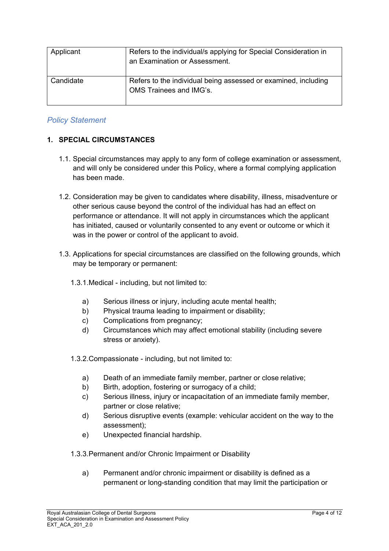| Applicant | Refers to the individual/s applying for Special Consideration in<br>an Examination or Assessment. |
|-----------|---------------------------------------------------------------------------------------------------|
| Candidate | Refers to the individual being assessed or examined, including<br>OMS Trainees and IMG's.         |

# *Policy Statement*

#### **1. SPECIAL CIRCUMSTANCES**

- 1.1. Special circumstances may apply to any form of college examination or assessment, and will only be considered under this Policy, where a formal complying application has been made.
- 1.2. Consideration may be given to candidates where disability, illness, misadventure or other serious cause beyond the control of the individual has had an effect on performance or attendance. It will not apply in circumstances which the applicant has initiated, caused or voluntarily consented to any event or outcome or which it was in the power or control of the applicant to avoid.
- 1.3. Applications for special circumstances are classified on the following grounds, which may be temporary or permanent:
	- 1.3.1.Medical including, but not limited to:
		- a) Serious illness or injury, including acute mental health;
		- b) Physical trauma leading to impairment or disability;
		- c) Complications from pregnancy;
		- d) Circumstances which may affect emotional stability (including severe stress or anxiety).
	- 1.3.2.Compassionate including, but not limited to:
		- a) Death of an immediate family member, partner or close relative;
		- b) Birth, adoption, fostering or surrogacy of a child;
		- c) Serious illness, injury or incapacitation of an immediate family member, partner or close relative;
		- d) Serious disruptive events (example: vehicular accident on the way to the assessment);
		- e) Unexpected financial hardship.
	- 1.3.3.Permanent and/or Chronic Impairment or Disability
		- a) Permanent and/or chronic impairment or disability is defined as a permanent or long-standing condition that may limit the participation or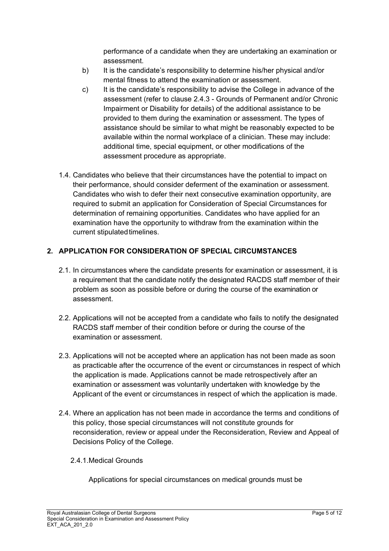performance of a candidate when they are undertaking an examination or assessment.

- b) It is the candidate's responsibility to determine his/her physical and/or mental fitness to attend the examination or assessment.
- c) It is the candidate's responsibility to advise the College in advance of the assessment (refer to clause [2.4.3](#page-5-0) - Grounds of Permanent and/or Chronic Impairment or Disability for details) of the additional assistance to be provided to them during the examination or assessment. The types of assistance should be similar to what might be reasonably expected to be available within the normal workplace of a clinician. These may include: additional time, special equipment, or other modifications of the assessment procedure as appropriate.
- 1.4. Candidates who believe that their circumstances have the potential to impact on their performance, should consider deferment of the examination or assessment. Candidates who wish to defer their next consecutive examination opportunity, are required to submit an application for Consideration of Special Circumstances for determination of remaining opportunities. Candidates who have applied for an examination have the opportunity to withdraw from the examination within the current stipulated timelines.

# **2. APPLICATION FOR CONSIDERATION OF SPECIAL CIRCUMSTANCES**

- 2.1. In circumstances where the candidate presents for examination or assessment, it is a requirement that the candidate notify the designated RACDS staff member of their problem as soon as possible before or during the course of the examination or assessment.
- 2.2. Applications will not be accepted from a candidate who fails to notify the designated RACDS staff member of their condition before or during the course of the examination or assessment.
- 2.3. Applications will not be accepted where an application has not been made as soon as practicable after the occurrence of the event or circumstances in respect of which the application is made. Applications cannot be made retrospectively after an examination or assessment was voluntarily undertaken with knowledge by the Applicant of the event or circumstances in respect of which the application is made.
- 2.4. Where an application has not been made in accordance the terms and conditions of this policy, those special circumstances will not constitute grounds for reconsideration, review or appeal under the Reconsideration, Review and Appeal of Decisions Policy of the College.
	- 2.4.1.Medical Grounds

Applications for special circumstances on medical grounds must be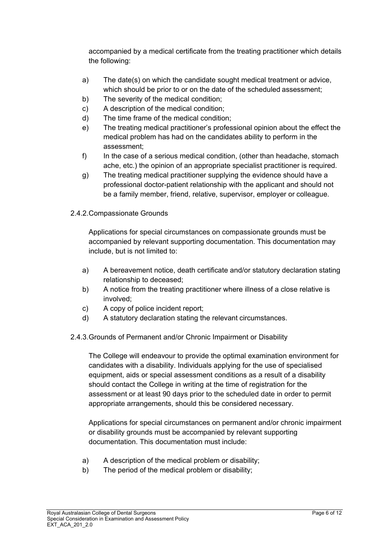accompanied by a medical certificate from the treating practitioner which details the following:

- a) The date(s) on which the candidate sought medical treatment or advice, which should be prior to or on the date of the scheduled assessment;
- b) The severity of the medical condition;
- c) A description of the medical condition;
- d) The time frame of the medical condition;
- e) The treating medical practitioner's professional opinion about the effect the medical problem has had on the candidates ability to perform in the assessment;
- f) In the case of a serious medical condition, (other than headache, stomach ache, etc.) the opinion of an appropriate specialist practitioner is required.
- g) The treating medical practitioner supplying the evidence should have a professional doctor-patient relationship with the applicant and should not be a family member, friend, relative, supervisor, employer or colleague.
- 2.4.2.Compassionate Grounds

Applications for special circumstances on compassionate grounds must be accompanied by relevant supporting documentation. This documentation may include, but is not limited to:

- a) A bereavement notice, death certificate and/or statutory declaration stating relationship to deceased;
- b) A notice from the treating practitioner where illness of a close relative is involved;
- c) A copy of police incident report;
- d) A statutory declaration stating the relevant circumstances.
- 2.4.3.Grounds of Permanent and/or Chronic Impairment or Disability

<span id="page-5-0"></span>The College will endeavour to provide the optimal examination environment for candidates with a disability. Individuals applying for the use of specialised equipment, aids or special assessment conditions as a result of a disability should contact the College in writing at the time of registration for the assessment or at least 90 days prior to the scheduled date in order to permit appropriate arrangements, should this be considered necessary.

Applications for special circumstances on permanent and/or chronic impairment or disability grounds must be accompanied by relevant supporting documentation. This documentation must include:

- a) A description of the medical problem or disability;
- b) The period of the medical problem or disability;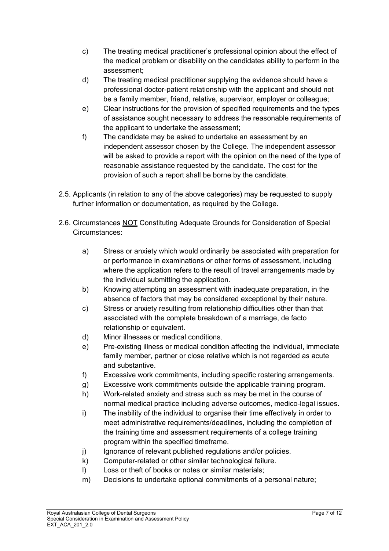- c) The treating medical practitioner's professional opinion about the effect of the medical problem or disability on the candidates ability to perform in the assessment;
- d) The treating medical practitioner supplying the evidence should have a professional doctor-patient relationship with the applicant and should not be a family member, friend, relative, supervisor, employer or colleague;
- e) Clear instructions for the provision of specified requirements and the types of assistance sought necessary to address the reasonable requirements of the applicant to undertake the assessment;
- <span id="page-6-0"></span>f) The candidate may be asked to undertake an assessment by an independent assessor chosen by the College. The independent assessor will be asked to provide a report with the opinion on the need of the type of reasonable assistance requested by the candidate. The cost for the provision of such a report shall be borne by the candidate.
- 2.5. Applicants (in relation to any of the above categories) may be requested to supply further information or documentation, as required by the College.
- 2.6. Circumstances NOT Constituting Adequate Grounds for Consideration of Special Circumstances:
	- a) Stress or anxiety which would ordinarily be associated with preparation for or performance in examinations or other forms of assessment, including where the application refers to the result of travel arrangements made by the individual submitting the application.
	- b) Knowing attempting an assessment with inadequate preparation, in the absence of factors that may be considered exceptional by their nature.
	- c) Stress or anxiety resulting from relationship difficulties other than that associated with the complete breakdown of a marriage, de facto relationship or equivalent.
	- d) Minor illnesses or medical conditions.
	- e) Pre-existing illness or medical condition affecting the individual, immediate family member, partner or close relative which is not regarded as acute and substantive.
	- f) Excessive work commitments, including specific rostering arrangements.
	- g) Excessive work commitments outside the applicable training program.
	- h) Work-related anxiety and stress such as may be met in the course of normal medical practice including adverse outcomes, medico-legal issues.
	- i) The inability of the individual to organise their time effectively in order to meet administrative requirements/deadlines, including the completion of the training time and assessment requirements of a college training program within the specified timeframe.
	- j) Ignorance of relevant published regulations and/or policies.
	- k) Computer-related or other similar technological failure.
	- l) Loss or theft of books or notes or similar materials;
	- m) Decisions to undertake optional commitments of a personal nature;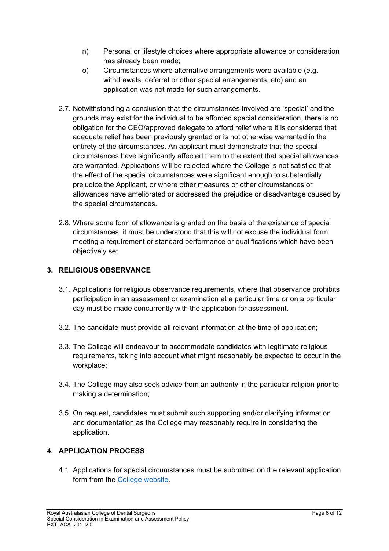- n) Personal or lifestyle choices where appropriate allowance or consideration has already been made;
- o) Circumstances where alternative arrangements were available (e.g. withdrawals, deferral or other special arrangements, etc) and an application was not made for such arrangements.
- 2.7. Notwithstanding a conclusion that the circumstances involved are 'special' and the grounds may exist for the individual to be afforded special consideration, there is no obligation for the CEO/approved delegate to afford relief where it is considered that adequate relief has been previously granted or is not otherwise warranted in the entirety of the circumstances. An applicant must demonstrate that the special circumstances have significantly affected them to the extent that special allowances are warranted. Applications will be rejected where the College is not satisfied that the effect of the special circumstances were significant enough to substantially prejudice the Applicant, or where other measures or other circumstances or allowances have ameliorated or addressed the prejudice or disadvantage caused by the special circumstances.
- 2.8. Where some form of allowance is granted on the basis of the existence of special circumstances, it must be understood that this will not excuse the individual form meeting a requirement or standard performance or qualifications which have been objectively set.

# **3. RELIGIOUS OBSERVANCE**

- 3.1. Applications for religious observance requirements, where that observance prohibits participation in an assessment or examination at a particular time or on a particular day must be made concurrently with the application for assessment.
- 3.2. The candidate must provide all relevant information at the time of application;
- 3.3. The College will endeavour to accommodate candidates with legitimate religious requirements, taking into account what might reasonably be expected to occur in the workplace;
- 3.4. The College may also seek advice from an authority in the particular religion prior to making a determination;
- 3.5. On request, candidates must submit such supporting and/or clarifying information and documentation as the College may reasonably require in considering the application.

# **4. APPLICATION PROCESS**

4.1. Applications for special circumstances must be submitted on the relevant application form from the [College website.](https://racds.org/forms/)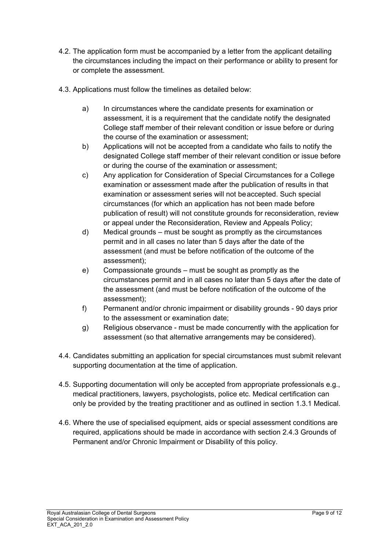- 4.2. The application form must be accompanied by a letter from the applicant detailing the circumstances including the impact on their performance or ability to present for or complete the assessment.
- 4.3. Applications must follow the timelines as detailed below:
	- a) In circumstances where the candidate presents for examination or assessment, it is a requirement that the candidate notify the designated College staff member of their relevant condition or issue before or during the course of the examination or assessment;
	- b) Applications will not be accepted from a candidate who fails to notify the designated College staff member of their relevant condition or issue before or during the course of the examination or assessment;
	- c) Any application for Consideration of Special Circumstances for a College examination or assessment made after the publication of results in that examination or assessment series will not beaccepted. Such special circumstances (for which an application has not been made before publication of result) will not constitute grounds for reconsideration, review or appeal under the Reconsideration, Review and Appeals Policy;
	- d) Medical grounds must be sought as promptly as the circumstances permit and in all cases no later than 5 days after the date of the assessment (and must be before notification of the outcome of the assessment);
	- e) Compassionate grounds must be sought as promptly as the circumstances permit and in all cases no later than 5 days after the date of the assessment (and must be before notification of the outcome of the assessment);
	- f) Permanent and/or chronic impairment or disability grounds 90 days prior to the assessment or examination date;
	- g) Religious observance must be made concurrently with the application for assessment (so that alternative arrangements may be considered).
- 4.4. Candidates submitting an application for special circumstances must submit relevant supporting documentation at the time of application.
- 4.5. Supporting documentation will only be accepted from appropriate professionals e.g., medical practitioners, lawyers, psychologists, police etc. Medical certification can only be provided by the treating practitioner and as outlined in section 1.3.1 Medical.
- 4.6. Where the use of specialised equipment, aids or special assessment conditions are required, applications should be made in accordance with section 2.4.3 Grounds o[f](#page-5-0) [Permanent and/or Chronic Impairment or Disability o](#page-5-0)f this policy.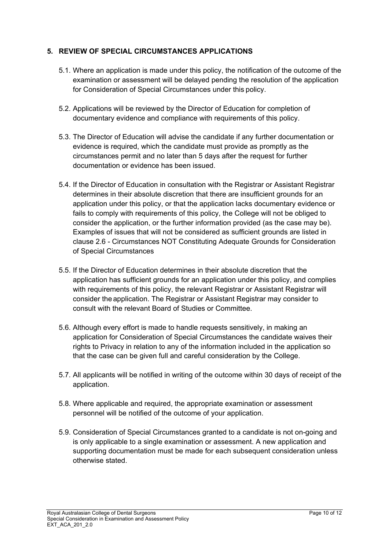#### **5. REVIEW OF SPECIAL CIRCUMSTANCES APPLICATIONS**

- 5.1. Where an application is made under this policy, the notification of the outcome of the examination or assessment will be delayed pending the resolution of the application for Consideration of Special Circumstances under this policy.
- 5.2. Applications will be reviewed by the Director of Education for completion of documentary evidence and compliance with requirements of this policy.
- 5.3. The Director of Education will advise the candidate if any further documentation or evidence is required, which the candidate must provide as promptly as the circumstances permit and no later than 5 days after the request for further documentation or evidence has been issued.
- 5.4. If the Director of Education in consultation with the Registrar or Assistant Registrar determines in their absolute discretion that there are insufficient grounds for an application under this policy, or that the application lacks documentary evidence or fails to comply with requirements of this policy, the College will not be obliged to consider the application, or the further information provided (as the case may be). Examples of issues that will not be considered as sufficient grounds are listed in clause 2.6 - Circumstances NOT [Constituting Adequate Grounds for Consideration](#page-6-0) of Special Circumstances
- 5.5. If the Director of Education determines in their absolute discretion that the application has sufficient grounds for an application under this policy, and complies with requirements of this policy, the relevant Registrar or Assistant Registrar will consider the application. The Registrar or Assistant Registrar may consider to consult with the relevant Board of Studies or Committee.
- 5.6. Although every effort is made to handle requests sensitively, in making an application for Consideration of Special Circumstances the candidate waives their rights to Privacy in relation to any of the information included in the application so that the case can be given full and careful consideration by the College.
- 5.7. All applicants will be notified in writing of the outcome within 30 days of receipt of the application.
- 5.8. Where applicable and required, the appropriate examination or assessment personnel will be notified of the outcome of your application.
- 5.9. Consideration of Special Circumstances granted to a candidate is not on-going and is only applicable to a single examination or assessment. A new application and supporting documentation must be made for each subsequent consideration unless otherwise stated.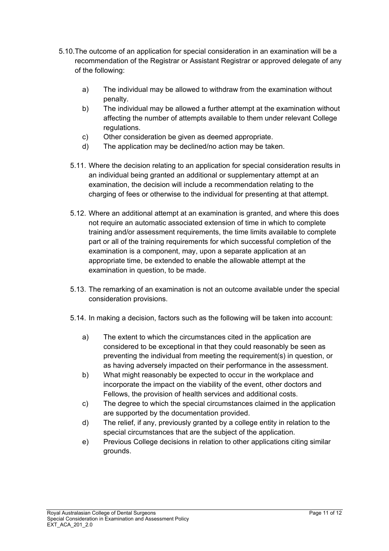- 5.10.The outcome of an application for special consideration in an examination will be a recommendation of the Registrar or Assistant Registrar or approved delegate of any of the following:
	- a) The individual may be allowed to withdraw from the examination without penalty.
	- b) The individual may be allowed a further attempt at the examination without affecting the number of attempts available to them under relevant College regulations.
	- c) Other consideration be given as deemed appropriate.
	- d) The application may be declined/no action may be taken.
	- 5.11. Where the decision relating to an application for special consideration results in an individual being granted an additional or supplementary attempt at an examination, the decision will include a recommendation relating to the charging of fees or otherwise to the individual for presenting at that attempt.
	- 5.12. Where an additional attempt at an examination is granted, and where this does not require an automatic associated extension of time in which to complete training and/or assessment requirements, the time limits available to complete part or all of the training requirements for which successful completion of the examination is a component, may, upon a separate application at an appropriate time, be extended to enable the allowable attempt at the examination in question, to be made.
	- 5.13. The remarking of an examination is not an outcome available under the special consideration provisions.
	- 5.14. In making a decision, factors such as the following will be taken into account:
		- a) The extent to which the circumstances cited in the application are considered to be exceptional in that they could reasonably be seen as preventing the individual from meeting the requirement(s) in question, or as having adversely impacted on their performance in the assessment.
		- b) What might reasonably be expected to occur in the workplace and incorporate the impact on the viability of the event, other doctors and Fellows, the provision of health services and additional costs.
		- c) The degree to which the special circumstances claimed in the application are supported by the documentation provided.
		- d) The relief, if any, previously granted by a college entity in relation to the special circumstances that are the subject of the application.
		- e) Previous College decisions in relation to other applications citing similar grounds.